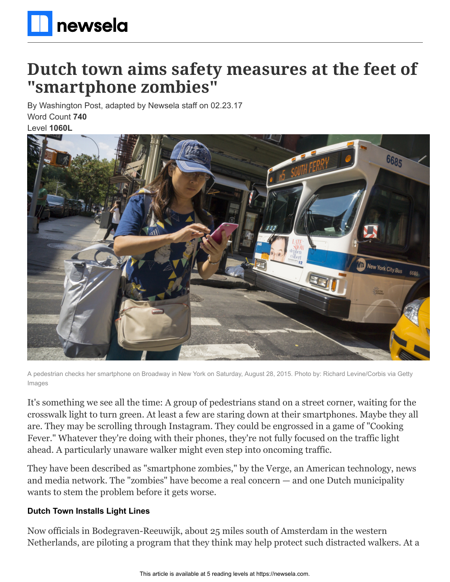

# **Dutch town aims safety measures at the feet of "smartphone zombies"**

By Washington Post, adapted by Newsela staff on 02.23.17 Word Count **740** Level **1060L**



A pedestrian checks her smartphone on Broadway in New York on Saturday, August 28, 2015. Photo by: Richard Levine/Corbis via Getty Images

It's something we see all the time: A group of pedestrians stand on a street corner, waiting for the crosswalk light to turn green. At least a few are staring down at their smartphones. Maybe they all are. They may be scrolling through Instagram. They could be engrossed in a game of "Cooking Fever." Whatever they're doing with their phones, they're not fully focused on the traffic light ahead. A particularly unaware walker might even step into oncoming traffic.

They have been described as "smartphone zombies," by the Verge, an American technology, news and media network. The "zombies" have become a real concern — and one Dutch municipality wants to stem the problem before it gets worse.

#### **Dutch Town Installs Light Lines**

Now officials in Bodegraven-Reeuwijk, about 25 miles south of Amsterdam in the western Netherlands, are piloting a program that they think may help protect such distracted walkers. At a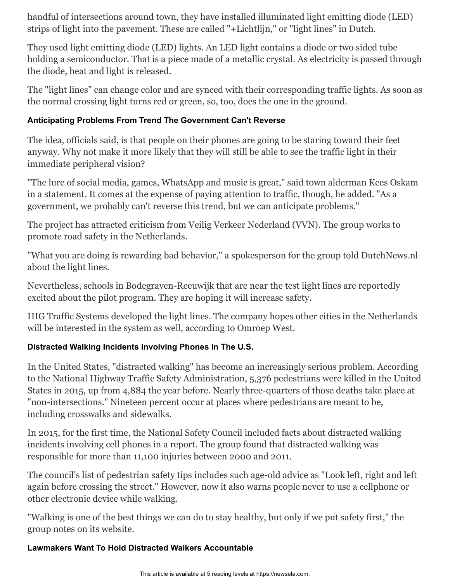handful of intersections around town, they have installed illuminated light emitting diode (LED) strips of light into the pavement. These are called "+Lichtlijn," or "light lines" in Dutch.

They used light emitting diode (LED) lights. An LED light contains a diode or two sided tube holding a semiconductor. That is a piece made of a metallic crystal. As electricity is passed through the diode, heat and light is released.

The "light lines" can change color and are synced with their corresponding traffic lights. As soon as the normal crossing light turns red or green, so, too, does the one in the ground.

## **Anticipating Problems From Trend The Government Can't Reverse**

The idea, officials said, is that people on their phones are going to be staring toward their feet anyway. Why not make it more likely that they will still be able to see the traffic light in their immediate peripheral vision?

"The lure of social media, games, WhatsApp and music is great," said town alderman Kees Oskam in a statement. It comes at the expense of paying attention to traffic, though, he added. "As a government, we probably can't reverse this trend, but we can anticipate problems."

The project has attracted criticism from Veilig Verkeer Nederland (VVN). The group works to promote road safety in the Netherlands.

"What you are doing is rewarding bad behavior," a spokesperson for the group told DutchNews.nl about the light lines.

Nevertheless, schools in Bodegraven-Reeuwijk that are near the test light lines are reportedly excited about the pilot program. They are hoping it will increase safety.

HIG Traffic Systems developed the light lines. The company hopes other cities in the Netherlands will be interested in the system as well, according to Omroep West.

### **Distracted Walking Incidents Involving Phones In The U.S.**

In the United States, "distracted walking" has become an increasingly serious problem. According to the National Highway Traffic Safety Administration, 5,376 pedestrians were killed in the United States in 2015, up from 4,884 the year before. Nearly three-quarters of those deaths take place at "non-intersections." Nineteen percent occur at places where pedestrians are meant to be, including crosswalks and sidewalks.

In 2015, for the first time, the National Safety Council included facts about distracted walking incidents involving cell phones in a report. The group found that distracted walking was responsible for more than 11,100 injuries between 2000 and 2011.

The council's list of pedestrian safety tips includes such age-old advice as "Look left, right and left again before crossing the street." However, now it also warns people never to use a cellphone or other electronic device while walking.

"Walking is one of the best things we can do to stay healthy, but only if we put safety first," the group notes on its website.

### **Lawmakers Want To Hold Distracted Walkers Accountable**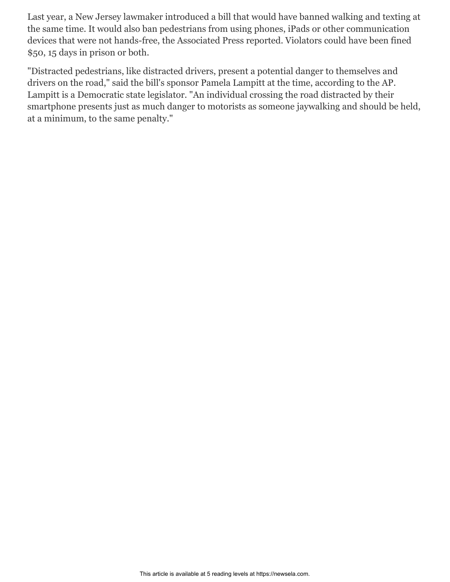Last year, a New Jersey lawmaker introduced a bill that would have banned walking and texting at the same time. It would also ban pedestrians from using phones, iPads or other communication devices that were not hands-free, the Associated Press reported. Violators could have been fined \$50, 15 days in prison or both.

"Distracted pedestrians, like distracted drivers, present a potential danger to themselves and drivers on the road," said the bill's sponsor Pamela Lampitt at the time, according to the AP. Lampitt is a Democratic state legislator. "An individual crossing the road distracted by their smartphone presents just as much danger to motorists as someone jaywalking and should be held, at a minimum, to the same penalty."